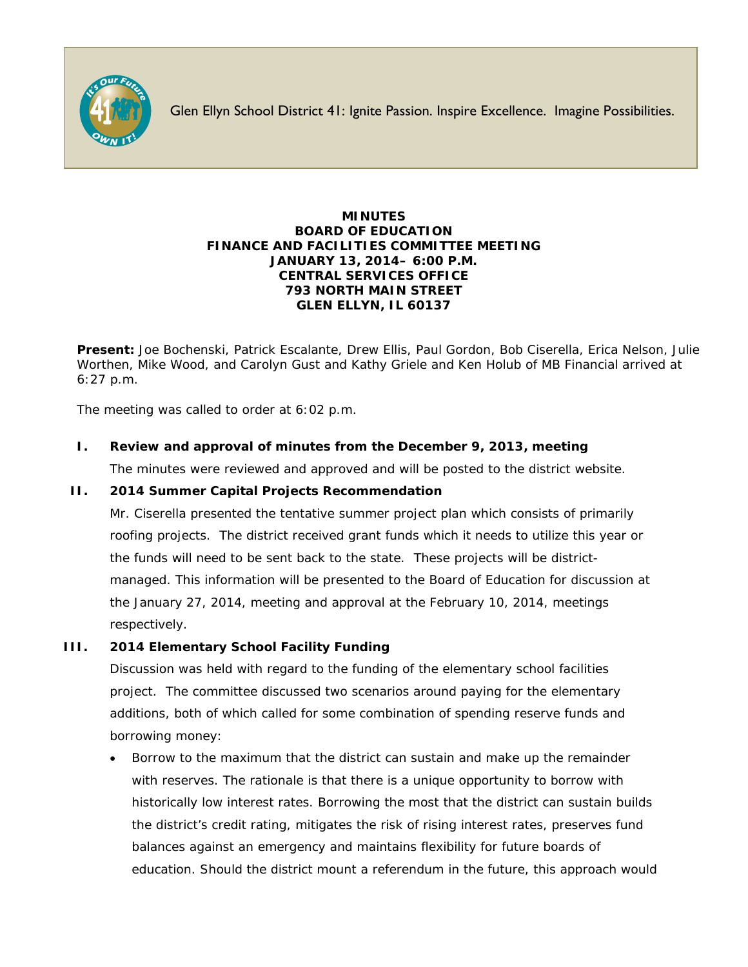

Glen Ellyn School District 41: Ignite Passion. Inspire Excellence. Imagine Possibilities.

#### **MINUTES BOARD OF EDUCATION FINANCE AND FACILITIES COMMITTEE MEETING JANUARY 13, 2014– 6:00 P.M. CENTRAL SERVICES OFFICE 793 NORTH MAIN STREET GLEN ELLYN, IL 60137**

**Present:** Joe Bochenski, Patrick Escalante, Drew Ellis, Paul Gordon, Bob Ciserella, Erica Nelson, Julie Worthen, Mike Wood, and Carolyn Gust and Kathy Griele and Ken Holub of MB Financial arrived at 6:27 p.m.

The meeting was called to order at 6:02 p.m.

## **I. Review and approval of minutes from the December 9, 2013, meeting**

The minutes were reviewed and approved and will be posted to the district website.

## **II. 2014 Summer Capital Projects Recommendation**

Mr. Ciserella presented the tentative summer project plan which consists of primarily roofing projects. The district received grant funds which it needs to utilize this year or the funds will need to be sent back to the state. These projects will be districtmanaged. This information will be presented to the Board of Education for discussion at the January 27, 2014, meeting and approval at the February 10, 2014, meetings respectively.

## **III. 2014 Elementary School Facility Funding**

Discussion was held with regard to the funding of the elementary school facilities project. The committee discussed two scenarios around paying for the elementary additions, both of which called for some combination of spending reserve funds and borrowing money:

• Borrow to the maximum that the district can sustain and make up the remainder with reserves. The rationale is that there is a unique opportunity to borrow with historically low interest rates. Borrowing the most that the district can sustain builds the district's credit rating, mitigates the risk of rising interest rates, preserves fund balances against an emergency and maintains flexibility for future boards of education. Should the district mount a referendum in the future, this approach would